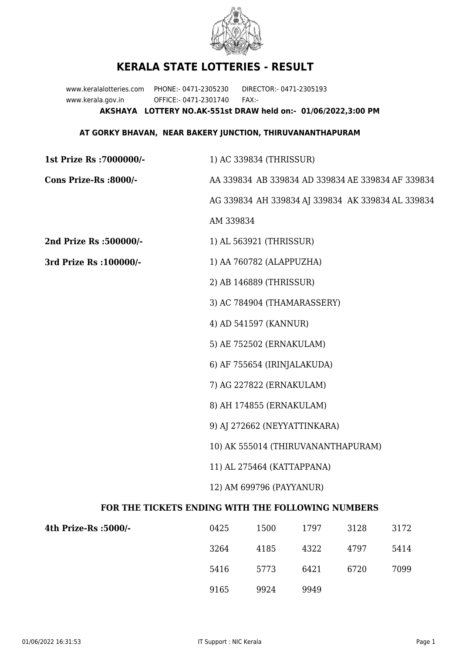

## **KERALA STATE LOTTERIES - RESULT**

www.keralalotteries.com PHONE:- 0471-2305230 DIRECTOR:- 0471-2305193 www.kerala.gov.in OFFICE:- 0471-2301740 FAX:- **AKSHAYA LOTTERY NO.AK-551st DRAW held on:- 01/06/2022,3:00 PM**

## **AT GORKY BHAVAN, NEAR BAKERY JUNCTION, THIRUVANANTHAPURAM**

| 1st Prize Rs : 7000000/-                          | 1) AC 339834 (THRISSUR)                           |                             |      |      |                                                   |  |
|---------------------------------------------------|---------------------------------------------------|-----------------------------|------|------|---------------------------------------------------|--|
| Cons Prize-Rs :8000/-                             | AA 339834 AB 339834 AD 339834 AE 339834 AF 339834 |                             |      |      |                                                   |  |
|                                                   |                                                   |                             |      |      | AG 339834 AH 339834 AJ 339834 AK 339834 AL 339834 |  |
|                                                   | AM 339834                                         |                             |      |      |                                                   |  |
| 2nd Prize Rs : 500000/-                           |                                                   | 1) AL 563921 (THRISSUR)     |      |      |                                                   |  |
| 3rd Prize Rs : 100000/-                           | 1) AA 760782 (ALAPPUZHA)                          |                             |      |      |                                                   |  |
|                                                   |                                                   | 2) AB 146889 (THRISSUR)     |      |      |                                                   |  |
|                                                   |                                                   | 3) AC 784904 (THAMARASSERY) |      |      |                                                   |  |
|                                                   |                                                   | 4) AD 541597 (KANNUR)       |      |      |                                                   |  |
|                                                   |                                                   | 5) AE 752502 (ERNAKULAM)    |      |      |                                                   |  |
|                                                   |                                                   | 6) AF 755654 (IRINJALAKUDA) |      |      |                                                   |  |
|                                                   | 7) AG 227822 (ERNAKULAM)                          |                             |      |      |                                                   |  |
|                                                   | 8) AH 174855 (ERNAKULAM)                          |                             |      |      |                                                   |  |
|                                                   | 9) AJ 272662 (NEYYATTINKARA)                      |                             |      |      |                                                   |  |
|                                                   | 10) AK 555014 (THIRUVANANTHAPURAM)                |                             |      |      |                                                   |  |
|                                                   | 11) AL 275464 (KATTAPPANA)                        |                             |      |      |                                                   |  |
|                                                   | 12) AM 699796 (PAYYANUR)                          |                             |      |      |                                                   |  |
| FOR THE TICKETS ENDING WITH THE FOLLOWING NUMBERS |                                                   |                             |      |      |                                                   |  |
| 4th Prize-Rs :5000/-                              | 0425                                              | 1500                        | 1797 | 3128 | 3172                                              |  |

| 4th Prize-Rs :5000/- | 0425 | 1500 | 1797 | 3128 | 3172 |
|----------------------|------|------|------|------|------|
|                      | 3264 | 4185 | 4322 | 4797 | 5414 |
|                      | 5416 | 5773 | 6421 | 6720 | 7099 |
|                      | 9165 | 9924 | 9949 |      |      |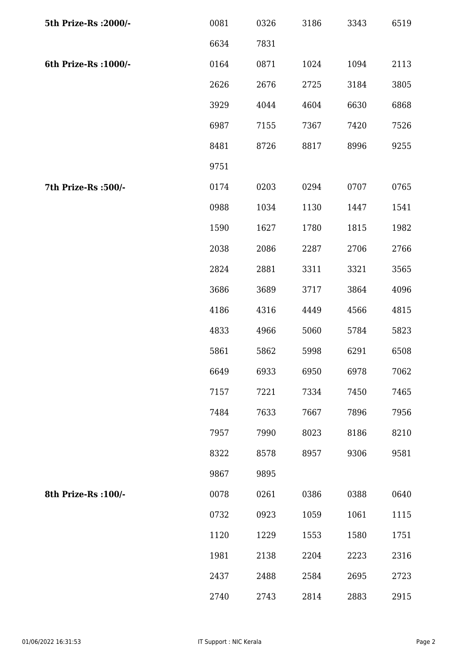| 5th Prize-Rs : 2000/- | 0081 | 0326 | 3186 | 3343 | 6519 |
|-----------------------|------|------|------|------|------|
|                       | 6634 | 7831 |      |      |      |
| 6th Prize-Rs : 1000/- | 0164 | 0871 | 1024 | 1094 | 2113 |
|                       | 2626 | 2676 | 2725 | 3184 | 3805 |
|                       | 3929 | 4044 | 4604 | 6630 | 6868 |
|                       | 6987 | 7155 | 7367 | 7420 | 7526 |
|                       | 8481 | 8726 | 8817 | 8996 | 9255 |
|                       | 9751 |      |      |      |      |
| 7th Prize-Rs : 500/-  | 0174 | 0203 | 0294 | 0707 | 0765 |
|                       | 0988 | 1034 | 1130 | 1447 | 1541 |
|                       | 1590 | 1627 | 1780 | 1815 | 1982 |
|                       | 2038 | 2086 | 2287 | 2706 | 2766 |
|                       | 2824 | 2881 | 3311 | 3321 | 3565 |
|                       | 3686 | 3689 | 3717 | 3864 | 4096 |
|                       | 4186 | 4316 | 4449 | 4566 | 4815 |
|                       | 4833 | 4966 | 5060 | 5784 | 5823 |
|                       | 5861 | 5862 | 5998 | 6291 | 6508 |
|                       | 6649 | 6933 | 6950 | 6978 | 7062 |
|                       | 7157 | 7221 | 7334 | 7450 | 7465 |
|                       | 7484 | 7633 | 7667 | 7896 | 7956 |
|                       | 7957 | 7990 | 8023 | 8186 | 8210 |
|                       | 8322 | 8578 | 8957 | 9306 | 9581 |
|                       | 9867 | 9895 |      |      |      |
| 8th Prize-Rs : 100/-  | 0078 | 0261 | 0386 | 0388 | 0640 |
|                       | 0732 | 0923 | 1059 | 1061 | 1115 |
|                       | 1120 | 1229 | 1553 | 1580 | 1751 |
|                       | 1981 | 2138 | 2204 | 2223 | 2316 |
|                       | 2437 | 2488 | 2584 | 2695 | 2723 |
|                       | 2740 | 2743 | 2814 | 2883 | 2915 |